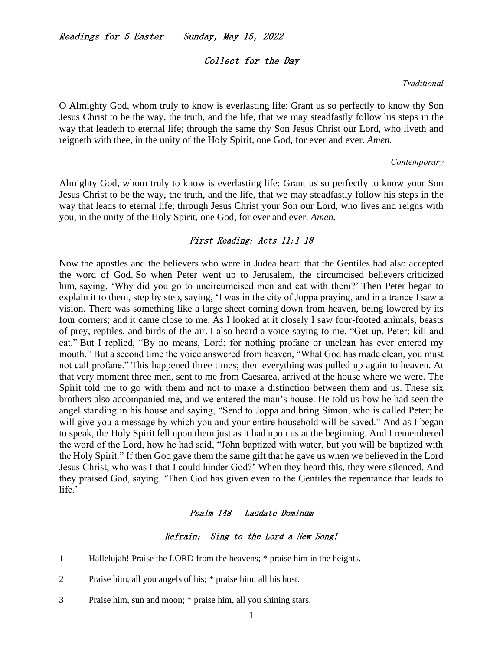## Readings for 5 Easter – Sunday, May 15, 2022

## Collect for the Day

#### *Traditional*

O Almighty God, whom truly to know is everlasting life: Grant us so perfectly to know thy Son Jesus Christ to be the way, the truth, and the life, that we may steadfastly follow his steps in the way that leadeth to eternal life; through the same thy Son Jesus Christ our Lord, who liveth and reigneth with thee, in the unity of the Holy Spirit, one God, for ever and ever. *Amen.*

#### *Contemporary*

Almighty God, whom truly to know is everlasting life: Grant us so perfectly to know your Son Jesus Christ to be the way, the truth, and the life, that we may steadfastly follow his steps in the way that leads to eternal life; through Jesus Christ your Son our Lord, who lives and reigns with you, in the unity of the Holy Spirit, one God, for ever and ever. *Amen.*

## First Reading: Acts 11:1-18

Now the apostles and the believers who were in Judea heard that the Gentiles had also accepted the word of God. So when Peter went up to Jerusalem, the circumcised believers criticized him, saying, 'Why did you go to uncircumcised men and eat with them?' Then Peter began to explain it to them, step by step, saying, 'I was in the city of Joppa praying, and in a trance I saw a vision. There was something like a large sheet coming down from heaven, being lowered by its four corners; and it came close to me. As I looked at it closely I saw four-footed animals, beasts of prey, reptiles, and birds of the air. I also heard a voice saying to me, "Get up, Peter; kill and eat." But I replied, "By no means, Lord; for nothing profane or unclean has ever entered my mouth." But a second time the voice answered from heaven, "What God has made clean, you must not call profane." This happened three times; then everything was pulled up again to heaven. At that very moment three men, sent to me from Caesarea, arrived at the house where we were. The Spirit told me to go with them and not to make a distinction between them and us. These six brothers also accompanied me, and we entered the man's house. He told us how he had seen the angel standing in his house and saying, "Send to Joppa and bring Simon, who is called Peter; he will give you a message by which you and your entire household will be saved." And as I began to speak, the Holy Spirit fell upon them just as it had upon us at the beginning. And I remembered the word of the Lord, how he had said, "John baptized with water, but you will be baptized with the Holy Spirit." If then God gave them the same gift that he gave us when we believed in the Lord Jesus Christ, who was I that I could hinder God?' When they heard this, they were silenced. And they praised God, saying, 'Then God has given even to the Gentiles the repentance that leads to life.'

### Psalm 148 Laudate Dominum

#### Refrain: Sing to the Lord a New Song!

- 1 Hallelujah! Praise the LORD from the heavens; \* praise him in the heights.
- 2 Praise him, all you angels of his; \* praise him, all his host.
- 3 Praise him, sun and moon; \* praise him, all you shining stars.